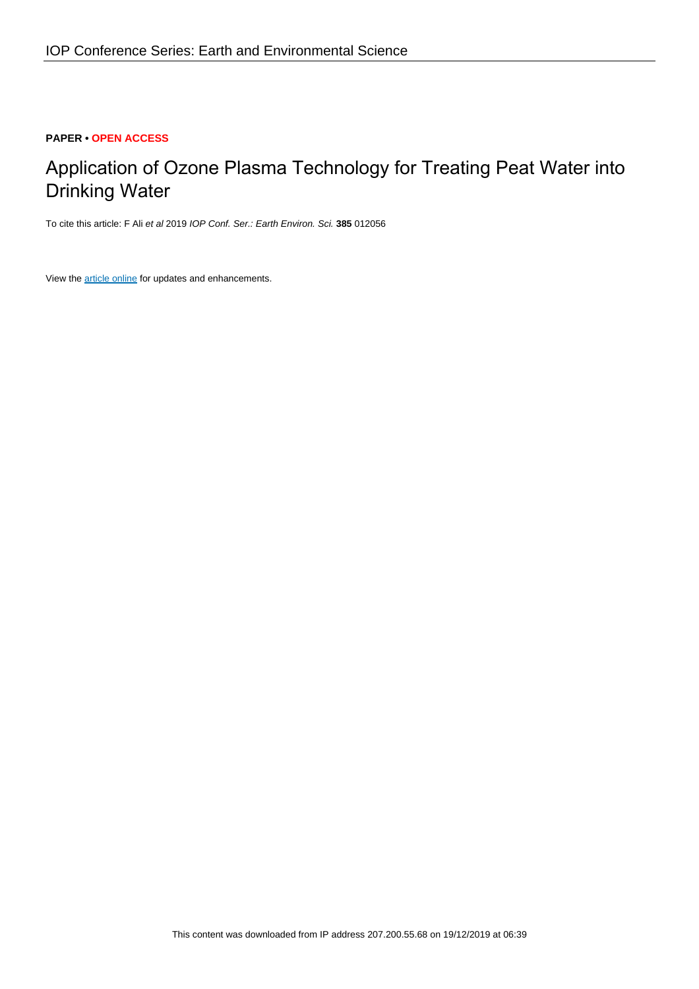## **PAPER • OPEN ACCESS**

# Application of Ozone Plasma Technology for Treating Peat Water into Drinking Water

To cite this article: F Ali et al 2019 IOP Conf. Ser.: Earth Environ. Sci. **385** 012056

View the [article online](https://doi.org/10.1088/1755-1315/385/1/012056) for updates and enhancements.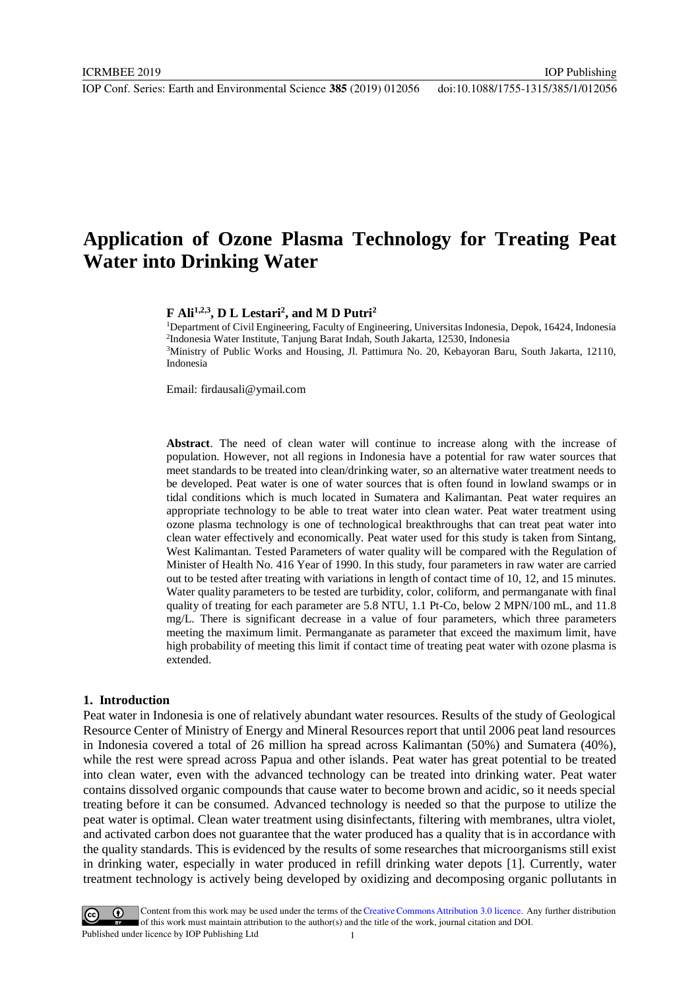IOP Publishing

## **Application of Ozone Plasma Technology for Treating Peat Water into Drinking Water**

## **F Ali1,2,3, D L Lestari<sup>2</sup> , and M D Putri<sup>2</sup>**

Department of Civil Engineering, Faculty of Engineering, Universitas Indonesia, Depok, 16424, Indonesia Indonesia Water Institute, Tanjung Barat Indah, South Jakarta, 12530, Indonesia Ministry of Public Works and Housing, Jl. Pattimura No. 20, Kebayoran Baru, South Jakarta, 12110, Indonesia

Email: firdausali@ymail.com

**Abstract**. The need of clean water will continue to increase along with the increase of population. However, not all regions in Indonesia have a potential for raw water sources that meet standards to be treated into clean/drinking water, so an alternative water treatment needs to be developed. Peat water is one of water sources that is often found in lowland swamps or in tidal conditions which is much located in Sumatera and Kalimantan. Peat water requires an appropriate technology to be able to treat water into clean water. Peat water treatment using ozone plasma technology is one of technological breakthroughs that can treat peat water into clean water effectively and economically. Peat water used for this study is taken from Sintang, West Kalimantan. Tested Parameters of water quality will be compared with the Regulation of Minister of Health No. 416 Year of 1990. In this study, four parameters in raw water are carried out to be tested after treating with variations in length of contact time of 10, 12, and 15 minutes. Water quality parameters to be tested are turbidity, color, coliform, and permanganate with final quality of treating for each parameter are 5.8 NTU, 1.1 Pt-Co, below 2 MPN/100 mL, and 11.8 mg/L. There is significant decrease in a value of four parameters, which three parameters meeting the maximum limit. Permanganate as parameter that exceed the maximum limit, have high probability of meeting this limit if contact time of treating peat water with ozone plasma is extended.

#### **1. Introduction**

Peat water in Indonesia is one of relatively abundant water resources. Results of the study of Geological Resource Center of Ministry of Energy and Mineral Resources report that until 2006 peat land resources in Indonesia covered a total of 26 million ha spread across Kalimantan (50%) and Sumatera (40%), while the rest were spread across Papua and other islands. Peat water has great potential to be treated into clean water, even with the advanced technology can be treated into drinking water. Peat water contains dissolved organic compounds that cause water to become brown and acidic, so it needs special treating before it can be consumed. Advanced technology is needed so that the purpose to utilize the peat water is optimal. Clean water treatment using disinfectants, filtering with membranes, ultra violet, and activated carbon does not guarantee that the water produced has a quality that is in accordance with the quality standards. This is evidenced by the results of some researches that microorganisms still exist in drinking water, especially in water produced in refill drinking water depots [1]. Currently, water treatment technology is actively being developed by oxidizing and decomposing organic pollutants in

Content from this work may be used under the terms of the Creative Commons Attribution 3.0 licence. Any further distribution of this work must maintain attribution to the author(s) and the title of the work, journal citation and DOI. Published under licence by IOP Publishing Ltd 1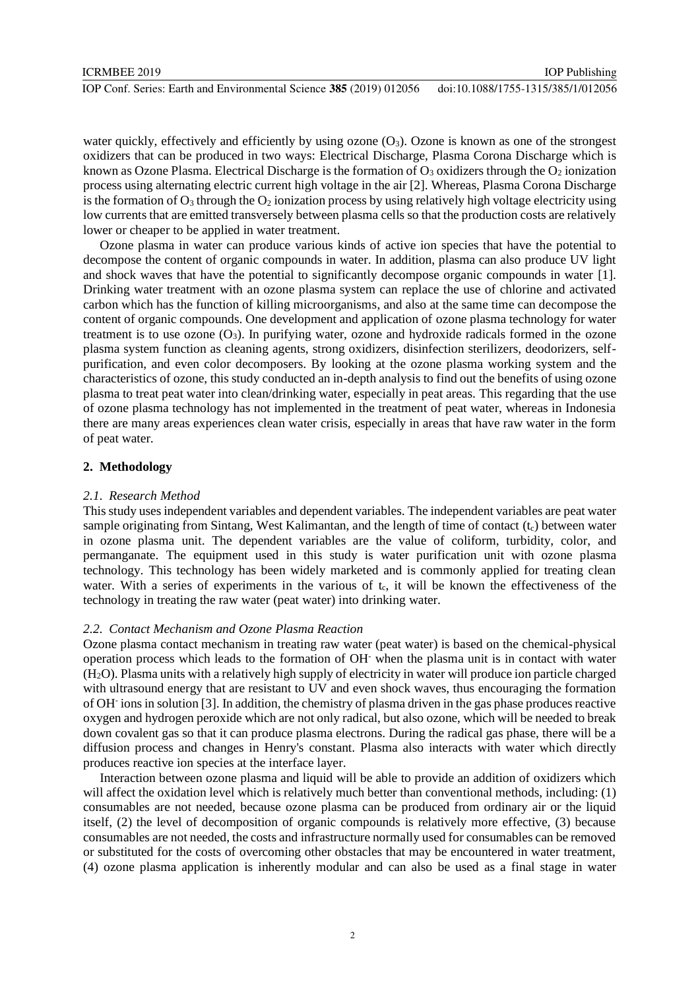water quickly, effectively and efficiently by using ozone  $(O_3)$ . Ozone is known as one of the strongest oxidizers that can be produced in two ways: Electrical Discharge, Plasma Corona Discharge which is known as Ozone Plasma. Electrical Discharge is the formation of  $O_3$  oxidizers through the  $O_2$  ionization process using alternating electric current high voltage in the air [2]. Whereas, Plasma Corona Discharge is the formation of  $O_3$  through the  $O_2$  ionization process by using relatively high voltage electricity using low currents that are emitted transversely between plasma cells so that the production costs are relatively lower or cheaper to be applied in water treatment.

Ozone plasma in water can produce various kinds of active ion species that have the potential to decompose the content of organic compounds in water. In addition, plasma can also produce UV light and shock waves that have the potential to significantly decompose organic compounds in water [1]. Drinking water treatment with an ozone [plasma system](https://www.austinozone.com) can replace the use of chlorine and activated carbon which has the function of killing microorganisms, and also at the same time can decompose the content of organic compounds. One development and application of ozone plasma technology for water treatment is to use ozone  $(O_3)$ . In purifying water, ozone and hydroxide radicals formed in the ozone plasma system function as cleaning agents, strong oxidizers, disinfection sterilizers, deodorizers, selfpurification, and even color decomposers. By looking at the ozone plasma working system and the characteristics of ozone, this study conducted an in-depth analysis to find out the benefits of using ozone plasma to treat peat water into clean/drinking water, especially in peat areas. This regarding that the use of ozone plasma technology has not implemented in the treatment of peat water, whereas in Indonesia there are many areas experiences clean water crisis, especially in areas that have raw water in the form of peat water.

## **2. Methodology**

## *2.1. Research Method*

This study uses independent variables and dependent variables. The independent variables are peat water sample originating from Sintang, West Kalimantan, and the length of time of contact  $(t<sub>c</sub>)$  between water in ozone plasma unit. The dependent variables are the value of coliform, turbidity, color, and permanganate. The equipment used in this study is water purification unit with ozone plasma technology. This technology has been widely marketed and is commonly applied for treating clean water. With a series of experiments in the various of  $t<sub>c</sub>$ , it will be known the effectiveness of the technology in treating the raw water (peat water) into drinking water.

## *2.2. Contact Mechanism and Ozone Plasma Reaction*

Ozone plasma contact mechanism in treating raw water (peat water) is based on the chemical-physical operation process which leads to the formation of OH- when the plasma unit is in contact with water (H2O). Plasma units with a relatively high supply of electricity in water will produce ion particle charged with ultrasound energy that are resistant to UV and even shock waves, thus encouraging the formation of OH-ions in solution [3]. In addition, the chemistry of plasma driven in the gas phase produces reactive oxygen and hydrogen peroxide which are not only radical, but also ozone, which will be needed to break down covalent gas so that it can produce plasma electrons. During the radical gas phase, there will be a diffusion process and changes in Henry's constant. Plasma also interacts with water which directly produces reactive ion species at the interface layer.

Interaction between ozone plasma and liquid will be able to provide an addition of oxidizers which will affect the oxidation level which is relatively much better than conventional methods, including: (1) consumables are not needed, because ozone plasma can be produced from ordinary air or the liquid itself, (2) the level of decomposition of organic compounds is relatively more effective, (3) because consumables are not needed, the costs and infrastructure normally used for consumables can be removed or substituted for the costs of overcoming other obstacles that may be encountered in water treatment, (4) ozone plasma application is inherently modular and can also be used as a final stage in water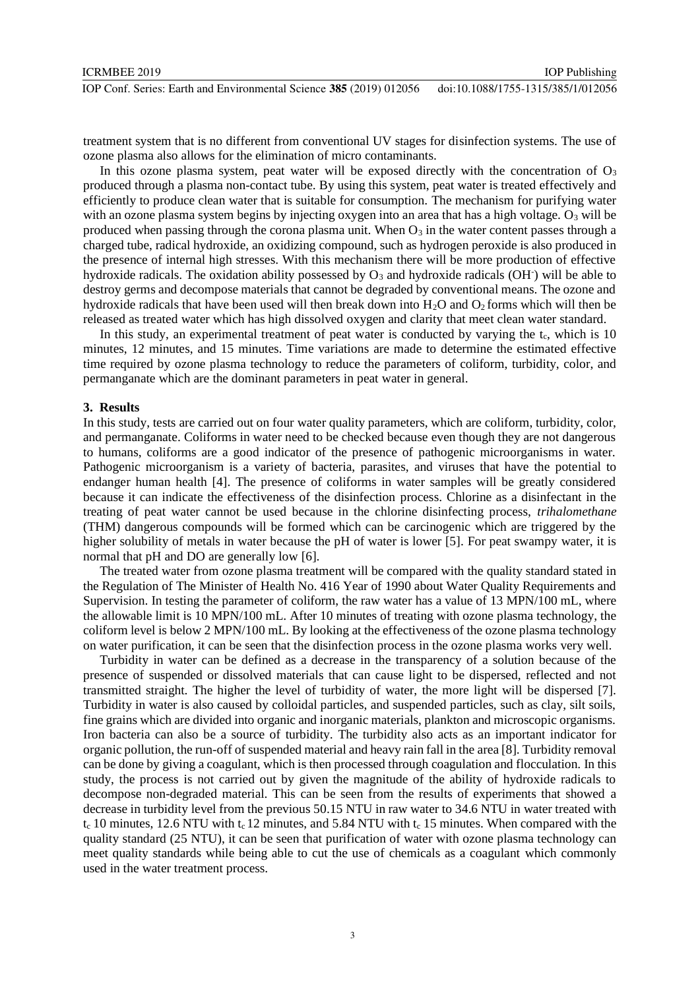treatment system that is no different from conventional UV stages for disinfection systems. The use of ozone plasma also allows for the elimination of micro contaminants.

In this ozone plasma system, peat water will be exposed directly with the concentration of  $O_3$ produced through a plasma non-contact tube. By using this system, peat water is treated effectively and efficiently to produce clean water that is suitable for consumption. The mechanism for purifying water with an ozone plasma system begins by injecting oxygen into an area that has a high voltage.  $O_3$  will be produced when passing through the corona plasma unit. When  $O_3$  in the water content passes through a charged tube, radical hydroxide, an oxidizing compound, such as hydrogen peroxide is also produced in the presence of internal high stresses. With this mechanism there will be more production of effective hydroxide radicals. The oxidation ability possessed by  $O_3$  and hydroxide radicals (OH $\cdot$ ) will be able to destroy germs and decompose materials that cannot be degraded by conventional means. The ozone and hydroxide radicals that have been used will then break down into  $H_2O$  and  $O_2$  forms which will then be released as treated water which has high dissolved oxygen and clarity that meet clean water standard.

In this study, an experimental treatment of peat water is conducted by varying the  $t_c$ , which is 10 minutes, 12 minutes, and 15 minutes. Time variations are made to determine the estimated effective time required by ozone plasma technology to reduce the parameters of coliform, turbidity, color, and permanganate which are the dominant parameters in peat water in general.

## **3. Results**

In this study, tests are carried out on four water quality parameters, which are coliform, turbidity, color, and permanganate. Coliforms in water need to be checked because even though they are not dangerous to humans, coliforms are a good indicator of the presence of pathogenic microorganisms in water. Pathogenic microorganism is a variety of bacteria, parasites, and viruses that have the potential to endanger human health [4]. The presence of coliforms in water samples will be greatly considered because it can indicate the effectiveness of the disinfection process. Chlorine as a disinfectant in the treating of peat water cannot be used because in the chlorine disinfecting process, *trihalomethane* (THM) dangerous compounds will be formed which can be carcinogenic which are triggered by the higher solubility of metals in water because the pH of water is lower [5]. For peat swampy water, it is normal that pH and DO are generally low [6].

The treated water from ozone plasma treatment will be compared with the quality standard stated in the Regulation of The Minister of Health No. 416 Year of 1990 about Water Quality Requirements and Supervision. In testing the parameter of coliform, the raw water has a value of 13 MPN/100 mL, where the allowable limit is 10 MPN/100 mL. After 10 minutes of treating with ozone plasma technology, the coliform level is below 2 MPN/100 mL. By looking at the effectiveness of the ozone plasma technology on water purification, it can be seen that the disinfection process in the ozone plasma works very well.

Turbidity in water can be defined as a decrease in the transparency of a solution because of the presence of suspended or dissolved materials that can cause light to be dispersed, reflected and not transmitted straight. The higher the level of turbidity of water, the more light will be dispersed [7]. Turbidity in water is also caused by colloidal particles, and suspended particles, such as clay, silt soils, fine grains which are divided into organic and inorganic materials, plankton and microscopic organisms. Iron bacteria can also be a source of turbidity. The turbidity also acts as an important indicator for organic pollution, the run-off of suspended material and heavy rain fall in the area [8]. Turbidity removal can be done by giving a coagulant, which is then processed through coagulation and flocculation. In this study, the process is not carried out by given the magnitude of the ability of hydroxide radicals to decompose non-degraded material. This can be seen from the results of experiments that showed a decrease in turbidity level from the previous 50.15 NTU in raw water to 34.6 NTU in water treated with  $t_c$  10 minutes, 12.6 NTU with  $t_c$  12 minutes, and 5.84 NTU with  $t_c$  15 minutes. When compared with the quality standard (25 NTU), it can be seen that purification of water with ozone plasma technology can meet quality standards while being able to cut the use of chemicals as a coagulant which commonly used in the water treatment process.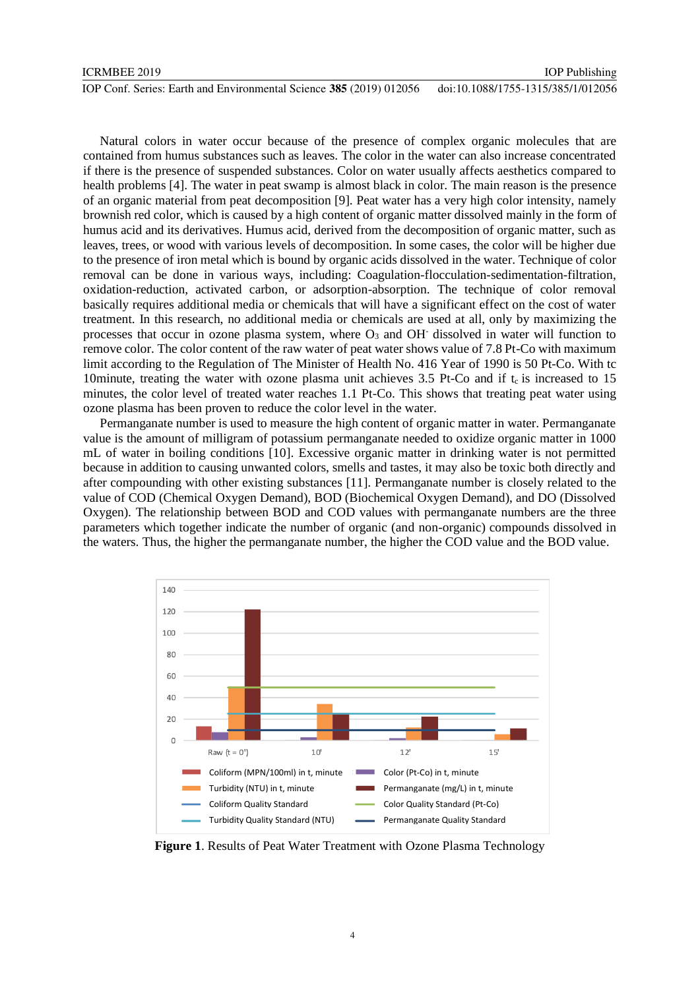| ICRMBEE 2019                                                        | <b>IOP</b> Publishing              |
|---------------------------------------------------------------------|------------------------------------|
| IOP Conf. Series: Earth and Environmental Science 385 (2019) 012056 | doi:10.1088/1755-1315/385/1/012056 |

Natural colors in water occur because of the presence of complex organic molecules that are contained from humus substances such as leaves. The color in the water can also increase concentrated if there is the presence of suspended substances. Color on water usually affects aesthetics compared to health problems [4]. The water in peat swamp is almost black in color. The main reason is the presence of an organic material from peat decomposition [9]. Peat water has a very high color intensity, namely brownish red color, which is caused by a high content of organic matter dissolved mainly in the form of humus acid and its derivatives. Humus acid, derived from the decomposition of organic matter, such as leaves, trees, or wood with various levels of decomposition. In some cases, the color will be higher due to the presence of iron metal which is bound by organic acids dissolved in the water. Technique of color removal can be done in various ways, including: Coagulation-flocculation-sedimentation-filtration, oxidation-reduction, activated carbon, or adsorption-absorption. The technique of color removal basically requires additional media or chemicals that will have a significant effect on the cost of water treatment. In this research, no additional media or chemicals are used at all, only by maximizing the processes that occur in ozone plasma system, where  $O_3$  and OH $\cdot$  dissolved in water will function to remove color. The color content of the raw water of peat water shows value of 7.8 Pt-Co with maximum limit according to the Regulation of The Minister of Health No. 416 Year of 1990 is 50 Pt-Co. With tc 10minute, treating the water with ozone plasma unit achieves  $3.5$  Pt-Co and if t<sub>c</sub> is increased to 15 minutes, the color level of treated water reaches 1.1 Pt-Co. This shows that treating peat water using ozone plasma has been proven to reduce the color level in the water.

Permanganate number is used to measure the high content of organic matter in water. Permanganate value is the amount of milligram of potassium permanganate needed to oxidize organic matter in 1000 mL of water in boiling conditions [10]. Excessive organic matter in drinking water is not permitted because in addition to causing unwanted colors, smells and tastes, it may also be toxic both directly and after compounding with other existing substances [11]. Permanganate number is closely related to the value of COD (Chemical Oxygen Demand), BOD (Biochemical Oxygen Demand), and DO (Dissolved Oxygen). The relationship between BOD and COD values with permanganate numbers are the three parameters which together indicate the number of organic (and non-organic) compounds dissolved in the waters. Thus, the higher the permanganate number, the higher the COD value and the BOD value.



**Figure 1**. Results of Peat Water Treatment with Ozone Plasma Technology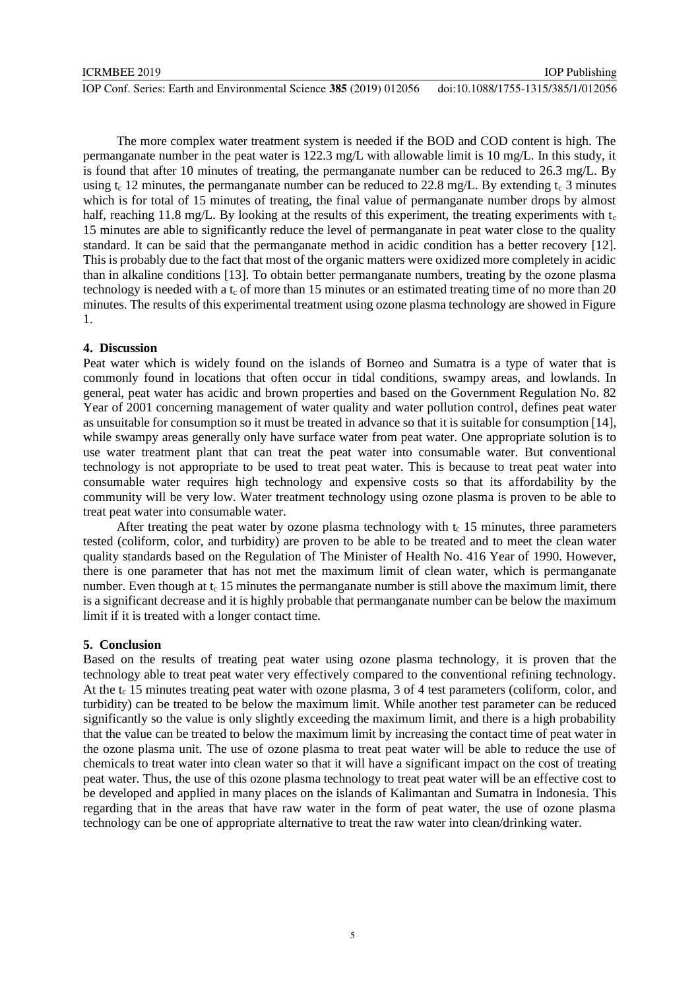IOP Conf. Series: Earth and Environmental Science **385** (2019) 012056 doi:10.1088/1755-1315/385/1/012056

The more complex water treatment system is needed if the BOD and COD content is high. The permanganate number in the peat water is 122.3 mg/L with allowable limit is 10 mg/L. In this study, it is found that after 10 minutes of treating, the permanganate number can be reduced to 26.3 mg/L. By using  $t_c$  12 minutes, the permanganate number can be reduced to 22.8 mg/L. By extending  $t_c$  3 minutes which is for total of 15 minutes of treating, the final value of permanganate number drops by almost half, reaching 11.8 mg/L. By looking at the results of this experiment, the treating experiments with  $t_c$ 15 minutes are able to significantly reduce the level of permanganate in peat water close to the quality standard. It can be said that the permanganate method in acidic condition has a better recovery [12]. This is probably due to the fact that most of the organic matters were oxidized more completely in acidic than in alkaline conditions [13]. To obtain better permanganate numbers, treating by the ozone plasma technology is needed with a  $t_c$  of more than 15 minutes or an estimated treating time of no more than 20 minutes. The results of this experimental treatment using ozone plasma technology are showed in Figure 1.

### **4. Discussion**

Peat water which is widely found on the islands of Borneo and Sumatra is a type of water that is commonly found in locations that often occur in tidal conditions, swampy areas, and lowlands. In general, peat water has acidic and brown properties and based on the Government Regulation No. 82 Year of 2001 concerning management of water quality and water pollution control, defines peat water as unsuitable for consumption so it must be treated in advance so that it is suitable for consumption [14], while swampy areas generally only have surface water from peat water. One appropriate solution is to use water treatment plant that can treat the peat water into consumable water. But conventional technology is not appropriate to be used to treat peat water. This is because to treat peat water into consumable water requires high technology and expensive costs so that its affordability by the community will be very low. Water treatment technology using ozone plasma is proven to be able to treat peat water into consumable water.

After treating the peat water by ozone plasma technology with  $t_c$  15 minutes, three parameters tested (coliform, color, and turbidity) are proven to be able to be treated and to meet the clean water quality standards based on the Regulation of The Minister of Health No. 416 Year of 1990. However, there is one parameter that has not met the maximum limit of clean water, which is permanganate number. Even though at  $t_c$  15 minutes the permanganate number is still above the maximum limit, there is a significant decrease and it is highly probable that permanganate number can be below the maximum limit if it is treated with a longer contact time.

#### **5. Conclusion**

Based on the results of treating peat water using ozone plasma technology, it is proven that the technology able to treat peat water very effectively compared to the conventional refining technology. At the  $t_c$  15 minutes treating peat water with ozone plasma, 3 of 4 test parameters (coliform, color, and turbidity) can be treated to be below the maximum limit. While another test parameter can be reduced significantly so the value is only slightly exceeding the maximum limit, and there is a high probability that the value can be treated to below the maximum limit by increasing the contact time of peat water in the ozone plasma unit. The use of ozone plasma to treat peat water will be able to reduce the use of chemicals to treat water into clean water so that it will have a significant impact on the cost of treating peat water. Thus, the use of this ozone plasma technology to treat peat water will be an effective cost to be developed and applied in many places on the islands of Kalimantan and Sumatra in Indonesia. This regarding that in the areas that have raw water in the form of peat water, the use of ozone plasma technology can be one of appropriate alternative to treat the raw water into clean/drinking water.